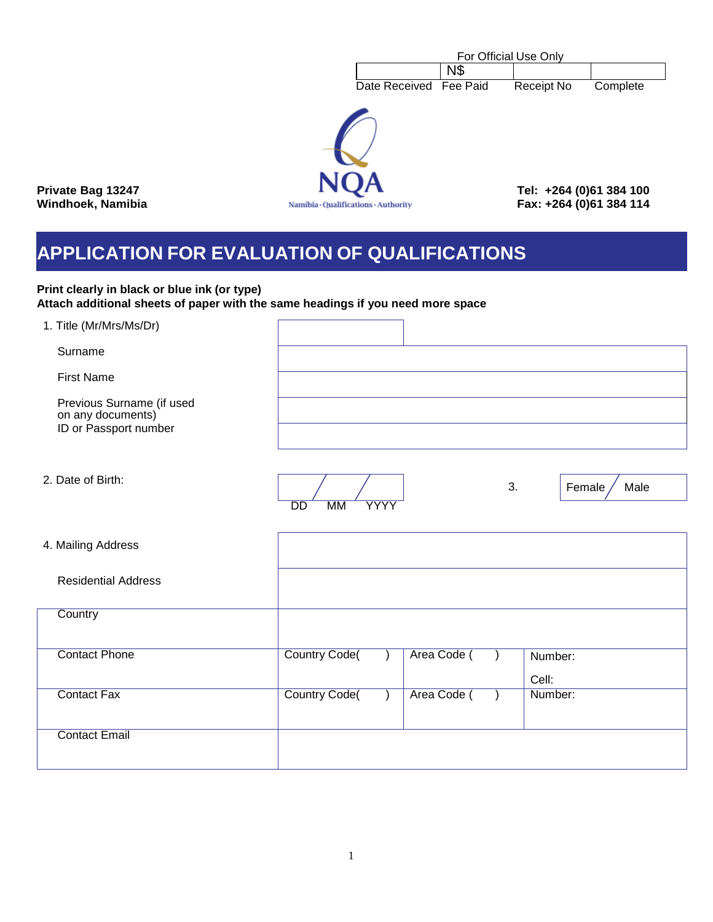|                                                    | For Official Use Only |                                                    |          |
|----------------------------------------------------|-----------------------|----------------------------------------------------|----------|
|                                                    | <b>N\$</b>            |                                                    |          |
| Date Received Fee Paid                             |                       | <b>Receipt No</b>                                  | Complete |
| <b>NQA</b><br>Namibia · Qualifications · Authority |                       | Tel: +264 (0)61 384 100<br>Fax: +264 (0)61 384 114 |          |

**Private Bag 13247 Windhoek, Namibia** 

# **APPLICATION FOR EVALUATION OF QUALIFICATIONS**

## **Print clearly in black or blue ink (or type) Attach additional sheets of paper with the same headings if you need more space**

| 1. Title (Mr/Mrs/Ms/Dr)                                                 |                                                                     |
|-------------------------------------------------------------------------|---------------------------------------------------------------------|
| Surname                                                                 |                                                                     |
| <b>First Name</b>                                                       |                                                                     |
| Previous Surname (if used<br>on any documents)<br>ID or Passport number |                                                                     |
|                                                                         |                                                                     |
| 2. Date of Birth:                                                       |                                                                     |
|                                                                         | 3.<br>Female<br>Male<br>$\overline{DD}$<br><b>MM</b><br><b>YYYY</b> |
|                                                                         |                                                                     |
| 4. Mailing Address                                                      |                                                                     |
| <b>Residential Address</b>                                              |                                                                     |
| Country                                                                 |                                                                     |
|                                                                         |                                                                     |
| <b>Contact Phone</b>                                                    | <b>Country Code(</b><br>Area Code (<br>Number:                      |
|                                                                         | Cell:                                                               |
| <b>Contact Fax</b>                                                      | <b>Country Code(</b><br>Number:<br>Area Code (                      |
| <b>Contact Email</b>                                                    |                                                                     |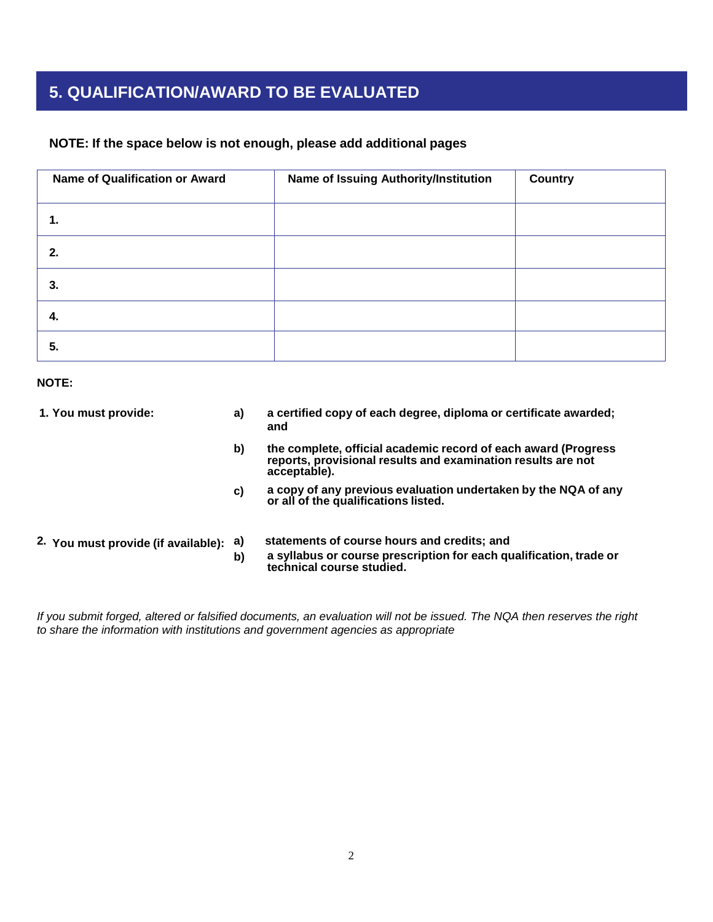# **5. QUALIFICATION/AWARD TO BE EVALUATED**

## **NOTE: If the space below is not enough, please add additional pages**

| Name of Qualification or Award | Name of Issuing Authority/Institution | <b>Country</b> |
|--------------------------------|---------------------------------------|----------------|
| 1.                             |                                       |                |
| 2.                             |                                       |                |
| 3.                             |                                       |                |
| 4.                             |                                       |                |
| 5.                             |                                       |                |

### **NOTE:**

| 1. You must provide:                | a)       | a certified copy of each degree, diploma or certificate awarded;<br>and                                                                         |
|-------------------------------------|----------|-------------------------------------------------------------------------------------------------------------------------------------------------|
|                                     | b)       | the complete, official academic record of each award (Progress)<br>reports, provisional results and examination results are not<br>acceptable). |
|                                     | C)       | a copy of any previous evaluation undertaken by the NQA of any<br>or all of the qualifications listed.                                          |
| 2. You must provide (if available): | a)<br>b) | statements of course hours and credits; and<br>a syllabus or course prescription for each qualification, trade or<br>technical course studied.  |

*If you submit forged, altered or falsified documents, an evaluation will not be issued. The NQA then reserves the right to share the information with institutions and government agencies as appropriate*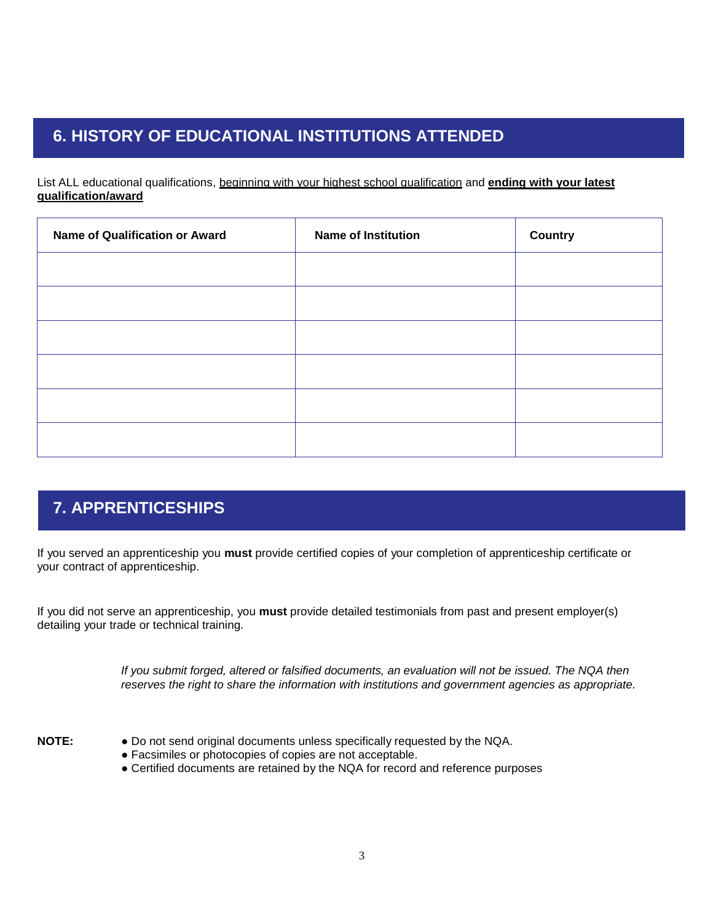# **6. HISTORY OF EDUCATIONAL INSTITUTIONS ATTENDED**

List ALL educational qualifications, beginning with your highest school qualification and **ending with your latest qualification/award**

| <b>Name of Qualification or Award</b> | <b>Name of Institution</b> | <b>Country</b> |
|---------------------------------------|----------------------------|----------------|
|                                       |                            |                |
|                                       |                            |                |
|                                       |                            |                |
|                                       |                            |                |
|                                       |                            |                |
|                                       |                            |                |

# **7. APPRENTICESHIPS**

If you served an apprenticeship you **must** provide certified copies of your completion of apprenticeship certificate or your contract of apprenticeship.

If you did not serve an apprenticeship, you **must** provide detailed testimonials from past and present employer(s) detailing your trade or technical training.

> *If you submit forged, altered or falsified documents, an evaluation will not be issued. The NQA then reserves the right to share the information with institutions and government agencies as appropriate.*

- **NOTE: ●** Do not send original documents unless specifically requested by the NQA.
	- **●** Facsimiles or photocopies of copies are not acceptable.
	- **●** Certified documents are retained by the NQA for record and reference purposes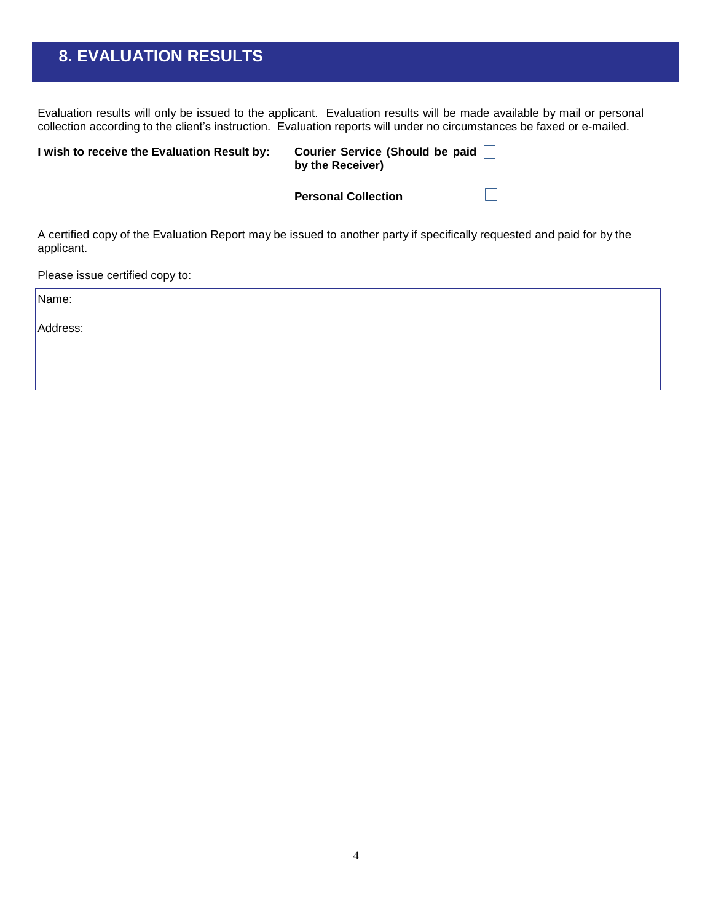# **8. EVALUATION RESULTS**

Evaluation results will only be issued to the applicant. Evaluation results will be made available by mail or personal collection according to the client's instruction. Evaluation reports will under no circumstances be faxed or e-mailed.

| I wish to receive the Evaluation Result by:                                                                                          | Courier Service (Should be paid □<br>by the Receiver) |  |  |
|--------------------------------------------------------------------------------------------------------------------------------------|-------------------------------------------------------|--|--|
|                                                                                                                                      | <b>Personal Collection</b>                            |  |  |
| A certified copy of the Evaluation Report may be issued to another party if specifically requested and paid for by the<br>applicant. |                                                       |  |  |

Please issue certified copy to:

Name:

Address: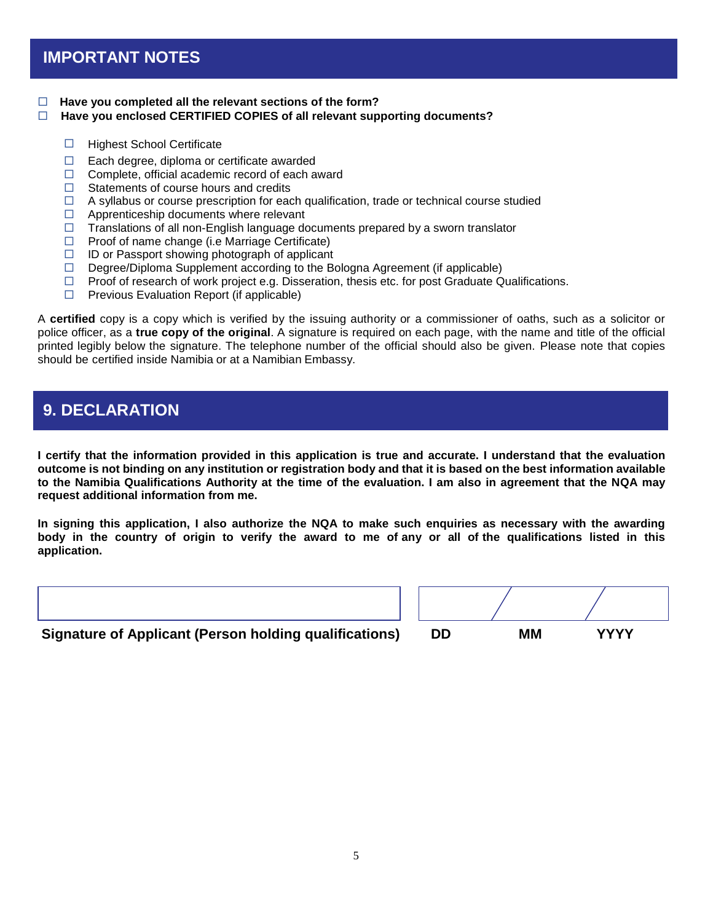#### **Have you completed all the relevant sections of the form?**

### **Have you enclosed CERTIFIED COPIES of all relevant supporting documents?**

- $\Box$  Highest School Certificate
- $\Box$  Each degree, diploma or certificate awarded
- $\Box$  Complete, official academic record of each award
- $\Box$  Statements of course hours and credits
- $\Box$  A syllabus or course prescription for each qualification, trade or technical course studied
- $\Box$  Apprenticeship documents where relevant
- $\Box$  Translations of all non-English language documents prepared by a sworn translator
- $\Box$  Proof of name change (i.e Marriage Certificate)
- $\Box$  ID or Passport showing photograph of applicant
- $\Box$  Degree/Diploma Supplement according to the Bologna Agreement (if applicable)
- $\Box$  Proof of research of work project e.g. Disseration, thesis etc. for post Graduate Qualifications.
- $\Box$  Previous Evaluation Report (if applicable)

A **certified** copy is a copy which is verified by the issuing authority or a commissioner of oaths, such as a solicitor or police officer, as a **true copy of the original**. A signature is required on each page, with the name and title of the official printed legibly below the signature. The telephone number of the official should also be given. Please note that copies should be certified inside Namibia or at a Namibian Embassy.

## **9. DECLARATION**

I certify that the information provided in this application is true and accurate. I understand that the evaluation outcome is not binding on any institution or registration body and that it is based on the best information available **to the Namibia Qualifications Authority at the time of the evaluation. I am also in agreement that the NQA may request additional information from me.**

In signing this application, I also authorize the NQA to make such enquiries as necessary with the awarding body in the country of origin to verify the award to me of any or all of the qualifications listed in this **application.**

**Signature of Applicant (Person holding qualifications)** 

| DD | MМ | <b>YYYY</b> |  |
|----|----|-------------|--|